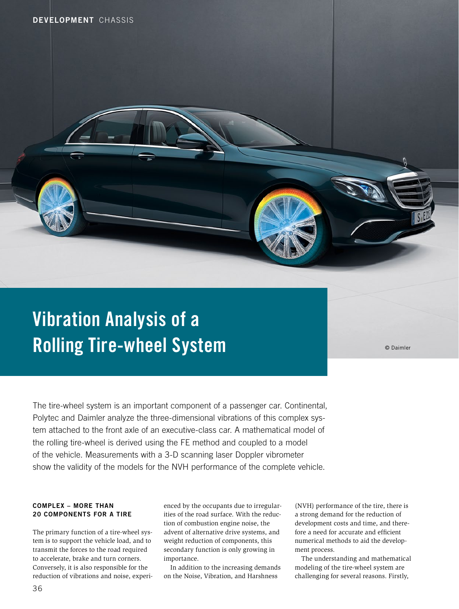# Vibration Analysis of a Rolling Tire-wheel System

© Daimler

The tire-wheel system is an important component of a passenger car. Continental, Polytec and Daimler analyze the three-dimensional vibrations of this complex system attached to the front axle of an executive-class car. A mathematical model of the rolling tire-wheel is derived using the FE method and coupled to a model of the vehicle. Measurements with a 3-D scanning laser Doppler vibrometer show the validity of the models for the NVH performance of the complete vehicle.

## COMPLEX – MORE THAN 20 COMPONENTS FOR A TIRE

The primary function of a tire-wheel system is to support the vehicle load, and to transmit the forces to the road required to accelerate, brake and turn corners. Conversely, it is also responsible for the reduction of vibrations and noise, experienced by the occupants due to irregularities of the road surface. With the reduction of combustion engine noise, the advent of alternative drive systems, and weight reduction of components, this secondary function is only growing in importance.

In addition to the increasing demands on the Noise, Vibration, and Harshness

(NVH) performance of the tire, there is a strong demand for the reduction of development costs and time, and therefore a need for accurate and efficient numerical methods to aid the development process.

The understanding and mathematical modeling of the tire-wheel system are challenging for several reasons. Firstly,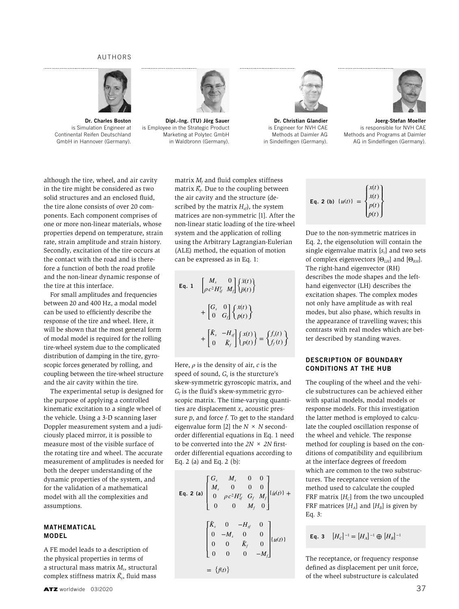#### AUTHORS



 Dr. Charles Boston is Simulation Engineer at Continental Reifen Deutschland GmbH in Hannover (Germany).



 Dipl.-Ing. (TU) Jörg Sauer is Employee in the Strategic Product Marketing at Polytec GmbH in Waldbronn (Germany).



Eq. 2 (b)  $\{u(t)\}$ 

 Dr. Christian Glandier is Engineer for NVH CAE Methods at Daimler AG in Sindelfingen (Germany).



 Joerg-Stefan Moeller is responsible for NVH CAE Methods and Programs at Daimler AG in Sindelfingen (Germany).

although the tire, wheel, and air cavity in the tire might be considered as two solid structures and an enclosed fluid, the tire alone consists of over 20 components. Each component comprises of one or more non-linear materials, whose properties depend on temperature, strain rate, strain amplitude and strain history. Secondly, excitation of the tire occurs at the contact with the road and is therefore a function of both the road profle and the non-linear dynamic response of the tire at this interface.

For small amplitudes and frequencies between 20 and 400 Hz, a modal model can be used to efficiently describe the response of the tire and wheel. Here, it will be shown that the most general form of modal model is required for the rolling tire-wheel system due to the complicated distribution of damping in the tire, gyroscopic forces generated by rolling, and coupling between the tire-wheel structure and the air cavity within the tire.

The experimental setup is designed for the purpose of applying a controlled kinematic excitation to a single wheel of the vehicle. Using a 3-D scanning laser Doppler measurement system and a judiciously placed mirror, it is possible to measure most of the visible surface of the rotating tire and wheel. The accurate measurement of amplitudes is needed for both the deeper understanding of the dynamic properties of the system, and for the validation of a mathematical model with all the complexities and assumptions.

#### MATHEMATICAL MODEL

A FE model leads to a description of the physical properties in terms of a structural mass matrix *Ms*, structural complex stiffness matrix *K*˜ *<sup>s</sup>*, fuid mass matrix  $M_f$  and fluid complex stiffness matrix  $\tilde{K}_f$ . Due to the coupling between the air cavity and the structure (described by the matrix  $H<sub>sf</sub>$ , the system matrices are non-symmetric [1]. After the non-linear static loading of the tire-wheel system and the application of rolling using the Arbitrary Lagrangian-Eulerian (ALE) method, the equation of motion can be expressed as in Eq. 1:

Eq. 1 
$$
\begin{bmatrix} M_s & 0 \\ \rho c^2 H_{sf}^T & M_f \end{bmatrix} \begin{Bmatrix} \ddot{x}(t) \\ \ddot{p}(t) \end{Bmatrix}
$$

$$
+ \begin{bmatrix} G_s & 0 \\ 0 & G_f \end{bmatrix} \begin{Bmatrix} \dot{x}(t) \\ \dot{p}(t) \end{Bmatrix}
$$

$$
+ \begin{bmatrix} \tilde{K}_s & -H_{sf} \\ 0 & \tilde{K}_f \end{bmatrix} \begin{Bmatrix} x(t) \\ p(t) \end{Bmatrix} = \begin{Bmatrix} f_s(t) \\ f_f(t) \end{Bmatrix}
$$

Here,  $\rho$  is the density of air,  $c$  is the speed of sound,  $G<sub>s</sub>$  is the sturcture's skew-symmetric gyroscopic matrix, and  $G_f$  is the fluid's skew-symmetric gyroscopic matrix. The time-varying quantities are displacement *x*, acoustic pressure *p*, and force *f*. To get to the standard eigenvalue form [2] the *N × N* secondorder differential equations in Eq. 1 need to be converted into the *2N × 2N* frstorder differential equations according to Eq. 2 (a) and Eq. 2 (b):

Eq. 2 (a) 
$$
\begin{bmatrix} G_s & M_s & 0 & 0 \ M_s & 0 & 0 & 0 \ 0 & \rho c^2 H_{sf}^T & G_f & M_f \ 0 & 0 & M_f & 0 \ \end{bmatrix} \{i\iota(t)\} + \begin{bmatrix} \tilde{K}_s & 0 & -H_{sf} & 0 \ 0 & -M_s & 0 & 0 \ 0 & 0 & \tilde{K}_f & 0 \ 0 & 0 & 0 & -M_f \ \end{bmatrix} \{i\iota(t)\} = \{f(t)\}
$$

Due to the non-symmetric matrices in  
Eq. 2, the eigensolution will contain the  
single eigenvalue matrix 
$$
[s_r]
$$
 and two sets  
of complex eigenvectors  $[\Theta_{LH}]$  and  $[\Theta_{RH}]$ .  
The right-hand eigenvector (RH)  
describes the mode shapes and the left-  
hand eigenvector (LH) describes the  
excitation shapes. The complex modes  
not only have amplitude as with real  
modes, but also phase, which results in  
the appearance of travelling waves; this  
contrast with real modes which are bet-  
ter described by standing waves.

 $\sqrt{ }$  $\mathsf{l}$ ⎨  $\blacksquare$  $\mathsf{l}$ 

*x*(*t*) *x*˙(*t*) *p*(*t*)  $\dot{p}(t)$ 

 $\lambda$  $\blacksquare$ ⎬  $\overline{1}$ ⎭

### DESCRIPTION OF BOUNDARY CONDITIONS AT THE HUB

The coupling of the wheel and the vehicle substructures can be achieved either with spatial models, modal models or response models. For this investigation the latter method is employed to calculate the coupled oscillation response of the wheel and vehicle. The response method for coupling is based on the conditions of compatibility and equilibrium at the interface degrees of freedom which are common to the two substructures. The receptance version of the method used to calculate the coupled FRF matrix  $[H<sub>c</sub>]$  from the two uncoupled FRF matrices  $[H_A]$  and  $[H_B]$  is given by Eq. 3:

**Eq. 3** 
$$
[H_C]^{-1} = [H_A]^{-1} \oplus [H_B]^{-1}
$$

The receptance, or frequency response defned as displacement per unit force, of the wheel substructure is calculated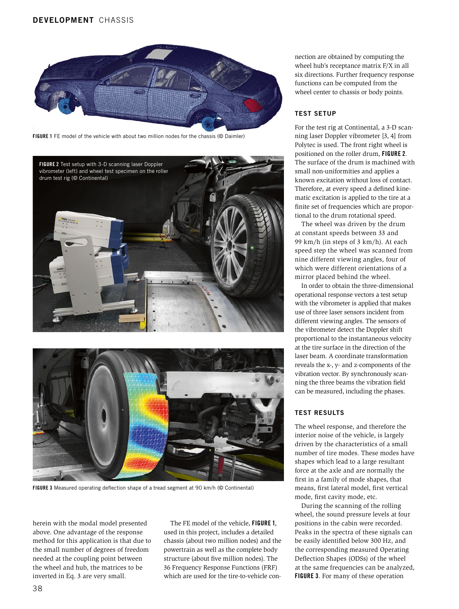# DEVELOPMENT CHASSIS



FIGURE 1 FE model of the vehicle with about two million nodes for the chassis (© Daimler)





FIGURE 3 Measured operating defection shape of a tread segment at 90 km/h (© Continental)

herein with the modal model presented above. One advantage of the response method for this application is that due to the small number of degrees of freedom needed at the coupling point between the wheel and hub, the matrices to be inverted in Eq. 3 are very small.

The FE model of the vehicle, FIGURE 1, used in this project, includes a detailed chassis (about two million nodes) and the powertrain as well as the complete body structure (about five million nodes). The 36 Frequency Response Functions (FRF) which are used for the tire-to-vehicle connection are obtained by computing the wheel hub's receptance matrix F/X in all six directions. Further frequency response functions can be computed from the wheel center to chassis or body points.

#### TEST SETUP

For the test rig at Continental, a 3-D scanning laser Doppler vibrometer [3, 4] from Polytec is used. The front right wheel is positioned on the roller drum, FIGURE 2. The surface of the drum is machined with small non-uniformities and applies a known excitation without loss of contact. Therefore, at every speed a defined kinematic excitation is applied to the tire at a finite set of frequencies which are proportional to the drum rotational speed.

The wheel was driven by the drum at constant speeds between 33 and 99 km/h (in steps of 3 km/h). At each speed step the wheel was scanned from nine different viewing angles, four of which were different orientations of a mirror placed behind the wheel.

In order to obtain the three-dimensional operational response vectors a test setup with the vibrometer is applied that makes use of three laser sensors incident from different viewing angles. The sensors of the vibrometer detect the Doppler shift proportional to the instantaneous velocity at the tire surface in the direction of the laser beam. A coordinate transformation reveals the x-, y- and z-components of the vibration vector. By synchronously scanning the three beams the vibration feld can be measured, including the phases.

# TEST RESULTS

The wheel response, and therefore the interior noise of the vehicle, is largely driven by the characteristics of a small number of tire modes. These modes have shapes which lead to a large resultant force at the axle and are normally the frst in a family of mode shapes, that means, frst lateral model, frst vertical mode, first cavity mode, etc.

During the scanning of the rolling wheel, the sound pressure levels at four positions in the cabin were recorded. Peaks in the spectra of these signals can be easily identifed below 300 Hz, and the corresponding measured Operating Defection Shapes (ODSs) of the wheel at the same frequencies can be analyzed, FIGURE 3. For many of these operation